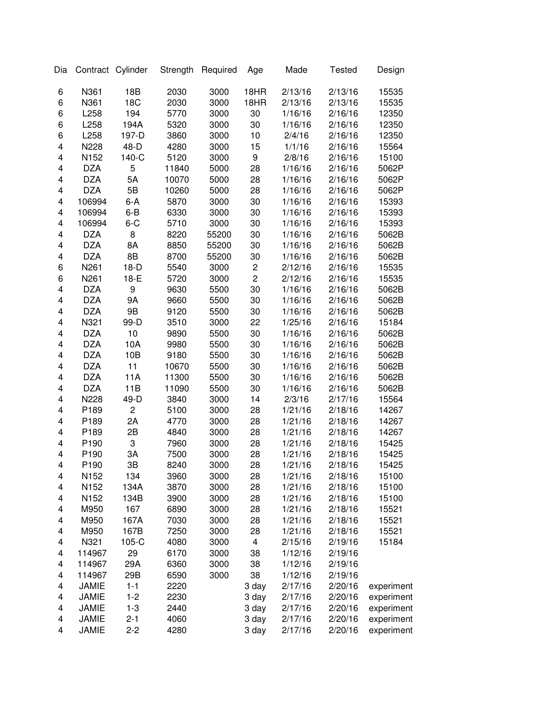| Dia |              | Contract Cylinder | Strength | Required | Age              | Made    | <b>Tested</b> | Design     |
|-----|--------------|-------------------|----------|----------|------------------|---------|---------------|------------|
| 6   | N361         | 18B               | 2030     | 3000     | 18HR             | 2/13/16 | 2/13/16       | 15535      |
| 6   | N361         | 18C               | 2030     | 3000     | 18HR             | 2/13/16 | 2/13/16       | 15535      |
| 6   | L258         | 194               | 5770     | 3000     | 30               | 1/16/16 | 2/16/16       | 12350      |
| 6   | L258         | 194A              | 5320     | 3000     | 30               | 1/16/16 | 2/16/16       | 12350      |
| 6   | L258         | 197-D             | 3860     | 3000     | 10               | 2/4/16  | 2/16/16       | 12350      |
| 4   | N228         | 48-D              | 4280     | 3000     | 15               | 1/1/16  | 2/16/16       | 15564      |
| 4   | N152         | 140-C             | 5120     | 3000     | 9                | 2/8/16  | 2/16/16       | 15100      |
| 4   | <b>DZA</b>   | 5                 | 11840    | 5000     | 28               | 1/16/16 | 2/16/16       | 5062P      |
| 4   | <b>DZA</b>   | 5A                | 10070    | 5000     | 28               | 1/16/16 | 2/16/16       | 5062P      |
| 4   | <b>DZA</b>   | 5B                | 10260    | 5000     | 28               | 1/16/16 | 2/16/16       | 5062P      |
| 4   | 106994       | $6-A$             | 5870     | 3000     | 30               | 1/16/16 | 2/16/16       | 15393      |
| 4   | 106994       | $6 - B$           | 6330     | 3000     | 30               | 1/16/16 | 2/16/16       | 15393      |
| 4   | 106994       | $6 - C$           | 5710     | 3000     | 30               | 1/16/16 | 2/16/16       | 15393      |
| 4   | <b>DZA</b>   | 8                 | 8220     | 55200    | 30               | 1/16/16 | 2/16/16       | 5062B      |
| 4   | <b>DZA</b>   | 8A                | 8850     | 55200    | 30               | 1/16/16 | 2/16/16       | 5062B      |
| 4   | <b>DZA</b>   | 8B                | 8700     | 55200    | 30               | 1/16/16 | 2/16/16       | 5062B      |
| 6   | N261         | $18-D$            | 5540     | 3000     | $\boldsymbol{2}$ | 2/12/16 | 2/16/16       | 15535      |
| 6   | N261         | 18-E              | 5720     | 3000     | $\overline{c}$   | 2/12/16 | 2/16/16       | 15535      |
| 4   | <b>DZA</b>   | 9                 | 9630     | 5500     | 30               | 1/16/16 | 2/16/16       | 5062B      |
| 4   | <b>DZA</b>   | <b>9A</b>         | 9660     | 5500     | 30               | 1/16/16 | 2/16/16       | 5062B      |
| 4   | <b>DZA</b>   | 9B                | 9120     | 5500     | 30               | 1/16/16 | 2/16/16       | 5062B      |
| 4   | N321         | 99-D              | 3510     | 3000     | 22               | 1/25/16 | 2/16/16       | 15184      |
| 4   | <b>DZA</b>   | 10                | 9890     | 5500     | 30               | 1/16/16 | 2/16/16       | 5062B      |
| 4   | <b>DZA</b>   | 10A               | 9980     | 5500     | 30               | 1/16/16 | 2/16/16       | 5062B      |
| 4   | <b>DZA</b>   | 10B               | 9180     | 5500     | 30               | 1/16/16 | 2/16/16       | 5062B      |
| 4   | <b>DZA</b>   | 11                | 10670    | 5500     | 30               | 1/16/16 | 2/16/16       | 5062B      |
| 4   | <b>DZA</b>   | 11A               | 11300    | 5500     | 30               | 1/16/16 | 2/16/16       | 5062B      |
| 4   | <b>DZA</b>   | 11B               | 11090    | 5500     | 30               | 1/16/16 | 2/16/16       | 5062B      |
| 4   | N228         | 49-D              | 3840     | 3000     | 14               | 2/3/16  | 2/17/16       | 15564      |
| 4   | P189         | $\overline{c}$    | 5100     | 3000     | 28               | 1/21/16 | 2/18/16       | 14267      |
| 4   | P189         | 2A                | 4770     | 3000     | 28               | 1/21/16 | 2/18/16       | 14267      |
| 4   | P189         | 2B                | 4840     | 3000     | 28               | 1/21/16 | 2/18/16       | 14267      |
| 4   | P190         | 3                 | 7960     | 3000     | 28               | 1/21/16 | 2/18/16       | 15425      |
| 4   | P190         | 3A                | 7500     | 3000     | 28               | 1/21/16 | 2/18/16       | 15425      |
| 4   | P190         | 3B                | 8240     | 3000     | 28               | 1/21/16 | 2/18/16       | 15425      |
| 4   | N152         | 134               | 3960     | 3000     | 28               | 1/21/16 | 2/18/16       | 15100      |
| 4   | N152         | 134A              | 3870     | 3000     | 28               | 1/21/16 | 2/18/16       | 15100      |
| 4   | N152         | 134B              | 3900     | 3000     | 28               | 1/21/16 | 2/18/16       | 15100      |
| 4   | M950         | 167               | 6890     | 3000     | 28               | 1/21/16 | 2/18/16       | 15521      |
| 4   | M950         | 167A              | 7030     | 3000     | 28               | 1/21/16 | 2/18/16       | 15521      |
| 4   | M950         | 167B              | 7250     | 3000     | 28               | 1/21/16 | 2/18/16       | 15521      |
| 4   | N321         | 105-C             | 4080     | 3000     | 4                | 2/15/16 | 2/19/16       | 15184      |
| 4   | 114967       | 29                | 6170     | 3000     | 38               | 1/12/16 | 2/19/16       |            |
| 4   | 114967       | 29A               | 6360     | 3000     | 38               | 1/12/16 | 2/19/16       |            |
| 4   | 114967       | 29B               | 6590     | 3000     | 38               | 1/12/16 | 2/19/16       |            |
| 4   | JAMIE        | $1 - 1$           | 2220     |          | 3 day            | 2/17/16 | 2/20/16       | experiment |
| 4   | <b>JAMIE</b> | $1 - 2$           | 2230     |          | 3 day            | 2/17/16 | 2/20/16       | experiment |
| 4   | <b>JAMIE</b> | $1 - 3$           | 2440     |          | 3 day            | 2/17/16 | 2/20/16       | experiment |
| 4   | <b>JAMIE</b> | $2 - 1$           | 4060     |          | 3 day            | 2/17/16 | 2/20/16       | experiment |
| 4   | <b>JAMIE</b> | $2 - 2$           | 4280     |          | 3 day            | 2/17/16 | 2/20/16       | experiment |
|     |              |                   |          |          |                  |         |               |            |